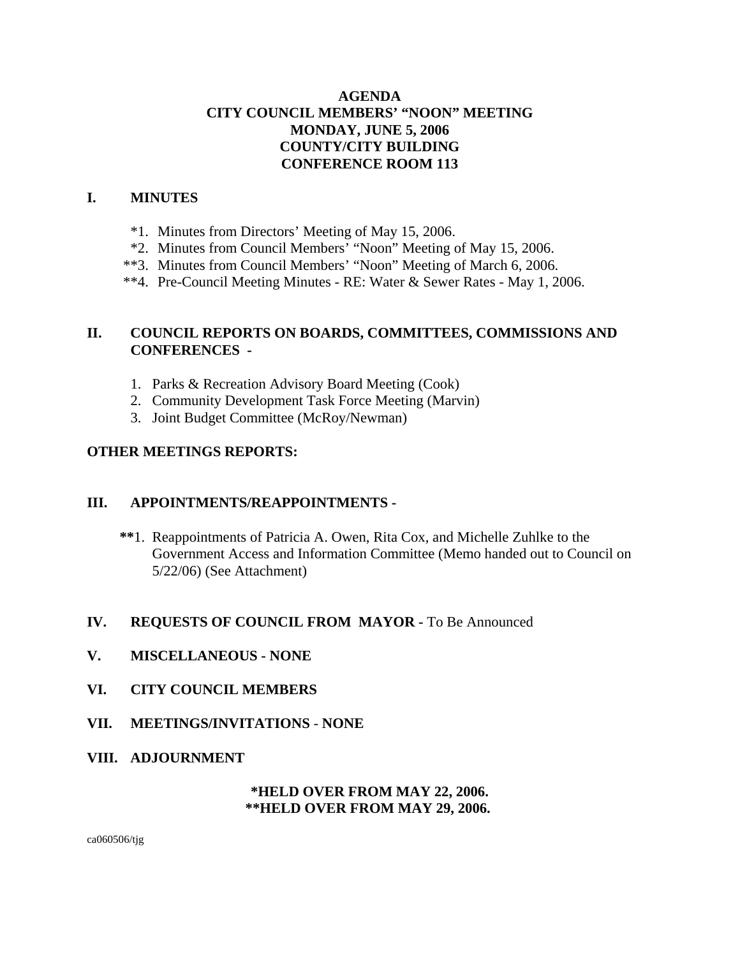# **AGENDA CITY COUNCIL MEMBERS' "NOON" MEETING MONDAY, JUNE 5, 2006 COUNTY/CITY BUILDING CONFERENCE ROOM 113**

# **I. MINUTES**

- \*1. Minutes from Directors' Meeting of May 15, 2006.
- \*2. Minutes from Council Members' "Noon" Meeting of May 15, 2006.
- \*\*3. Minutes from Council Members' "Noon" Meeting of March 6, 2006.
- \*\*4. Pre-Council Meeting Minutes RE: Water & Sewer Rates May 1, 2006.

# **II. COUNCIL REPORTS ON BOARDS, COMMITTEES, COMMISSIONS AND CONFERENCES -**

- 1. Parks & Recreation Advisory Board Meeting (Cook)
- 2. Community Development Task Force Meeting (Marvin)
- 3. Joint Budget Committee (McRoy/Newman)

# **OTHER MEETINGS REPORTS:**

## **III. APPOINTMENTS/REAPPOINTMENTS -**

 **\*\***1. Reappointments of Patricia A. Owen, Rita Cox, and Michelle Zuhlke to the Government Access and Information Committee (Memo handed out to Council on 5/22/06) (See Attachment)

## **IV. REQUESTS OF COUNCIL FROM MAYOR -** To Be Announced

- **V. MISCELLANEOUS NONE**
- **VI. CITY COUNCIL MEMBERS**
- **VII. MEETINGS/INVITATIONS NONE**
- **VIII. ADJOURNMENT**

## **\*HELD OVER FROM MAY 22, 2006. \*\*HELD OVER FROM MAY 29, 2006.**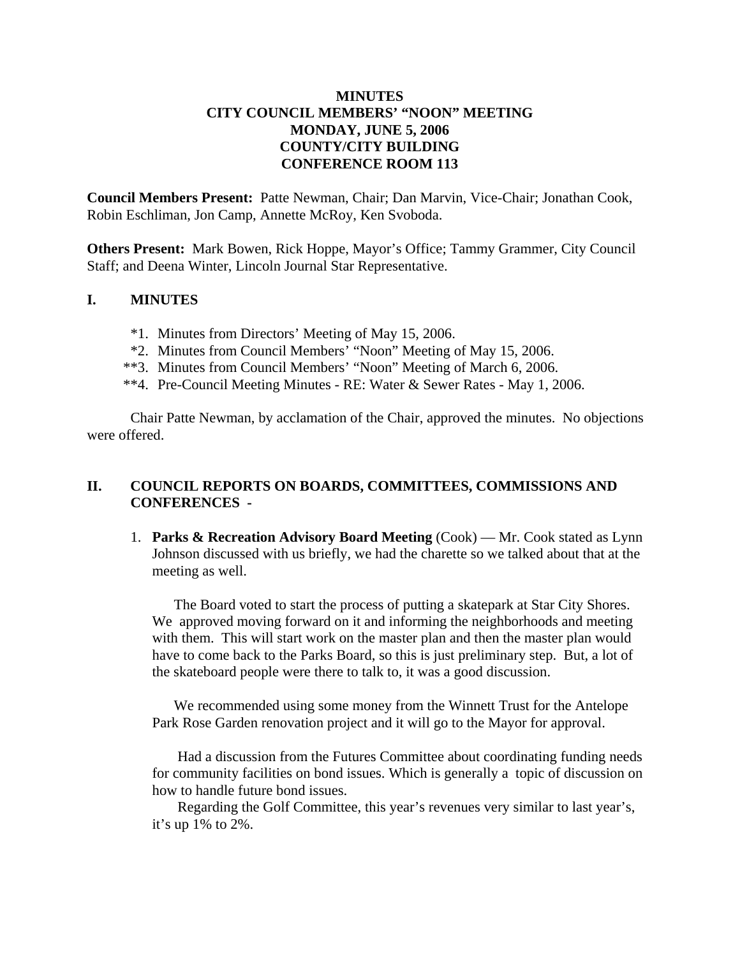# **MINUTES CITY COUNCIL MEMBERS' "NOON" MEETING MONDAY, JUNE 5, 2006 COUNTY/CITY BUILDING CONFERENCE ROOM 113**

**Council Members Present:** Patte Newman, Chair; Dan Marvin, Vice-Chair; Jonathan Cook, Robin Eschliman, Jon Camp, Annette McRoy, Ken Svoboda.

**Others Present:** Mark Bowen, Rick Hoppe, Mayor's Office; Tammy Grammer, City Council Staff; and Deena Winter, Lincoln Journal Star Representative.

## **I. MINUTES**

- \*1. Minutes from Directors' Meeting of May 15, 2006.
- \*2. Minutes from Council Members' "Noon" Meeting of May 15, 2006.
- \*\*3. Minutes from Council Members' "Noon" Meeting of March 6, 2006.
- \*\*4. Pre-Council Meeting Minutes RE: Water & Sewer Rates May 1, 2006.

Chair Patte Newman, by acclamation of the Chair, approved the minutes. No objections were offered.

# **II. COUNCIL REPORTS ON BOARDS, COMMITTEES, COMMISSIONS AND CONFERENCES -**

1. **Parks & Recreation Advisory Board Meeting** (Cook) — Mr. Cook stated as Lynn Johnson discussed with us briefly, we had the charette so we talked about that at the meeting as well.

 The Board voted to start the process of putting a skatepark at Star City Shores. We approved moving forward on it and informing the neighborhoods and meeting with them. This will start work on the master plan and then the master plan would have to come back to the Parks Board, so this is just preliminary step. But, a lot of the skateboard people were there to talk to, it was a good discussion.

 We recommended using some money from the Winnett Trust for the Antelope Park Rose Garden renovation project and it will go to the Mayor for approval.

 Had a discussion from the Futures Committee about coordinating funding needs for community facilities on bond issues. Which is generally a topic of discussion on how to handle future bond issues.

 Regarding the Golf Committee, this year's revenues very similar to last year's, it's up 1% to 2%.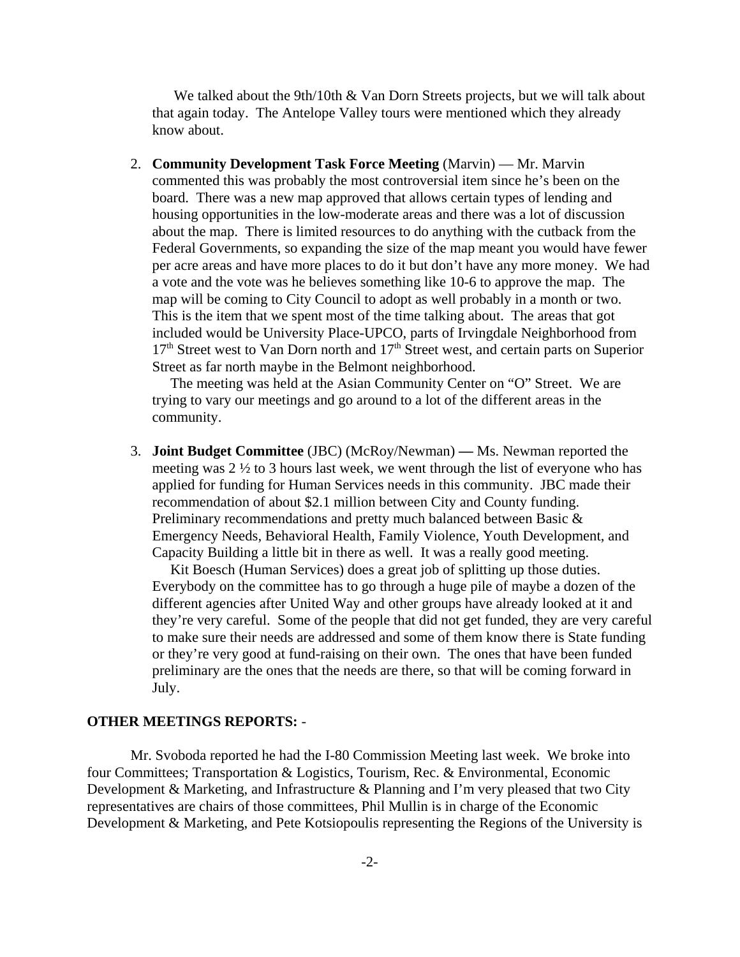We talked about the 9th/10th & Van Dorn Streets projects, but we will talk about that again today. The Antelope Valley tours were mentioned which they already know about.

2. **Community Development Task Force Meeting** (Marvin) — Mr. Marvin commented this was probably the most controversial item since he's been on the board. There was a new map approved that allows certain types of lending and housing opportunities in the low-moderate areas and there was a lot of discussion about the map. There is limited resources to do anything with the cutback from the Federal Governments, so expanding the size of the map meant you would have fewer per acre areas and have more places to do it but don't have any more money. We had a vote and the vote was he believes something like 10-6 to approve the map. The map will be coming to City Council to adopt as well probably in a month or two. This is the item that we spent most of the time talking about. The areas that got included would be University Place-UPCO, parts of Irvingdale Neighborhood from  $17<sup>th</sup>$  Street west to Van Dorn north and  $17<sup>th</sup>$  Street west, and certain parts on Superior Street as far north maybe in the Belmont neighborhood.

 The meeting was held at the Asian Community Center on "O" Street. We are trying to vary our meetings and go around to a lot of the different areas in the community.

3. **Joint Budget Committee** (JBC) (McRoy/Newman) **—** Ms. Newman reported the meeting was 2 ½ to 3 hours last week, we went through the list of everyone who has applied for funding for Human Services needs in this community. JBC made their recommendation of about \$2.1 million between City and County funding. Preliminary recommendations and pretty much balanced between Basic & Emergency Needs, Behavioral Health, Family Violence, Youth Development, and Capacity Building a little bit in there as well. It was a really good meeting.

 Kit Boesch (Human Services) does a great job of splitting up those duties. Everybody on the committee has to go through a huge pile of maybe a dozen of the different agencies after United Way and other groups have already looked at it and they're very careful. Some of the people that did not get funded, they are very careful to make sure their needs are addressed and some of them know there is State funding or they're very good at fund-raising on their own. The ones that have been funded preliminary are the ones that the needs are there, so that will be coming forward in July.

### **OTHER MEETINGS REPORTS:** -

Mr. Svoboda reported he had the I-80 Commission Meeting last week. We broke into four Committees; Transportation & Logistics, Tourism, Rec. & Environmental, Economic Development & Marketing, and Infrastructure & Planning and I'm very pleased that two City representatives are chairs of those committees, Phil Mullin is in charge of the Economic Development & Marketing, and Pete Kotsiopoulis representing the Regions of the University is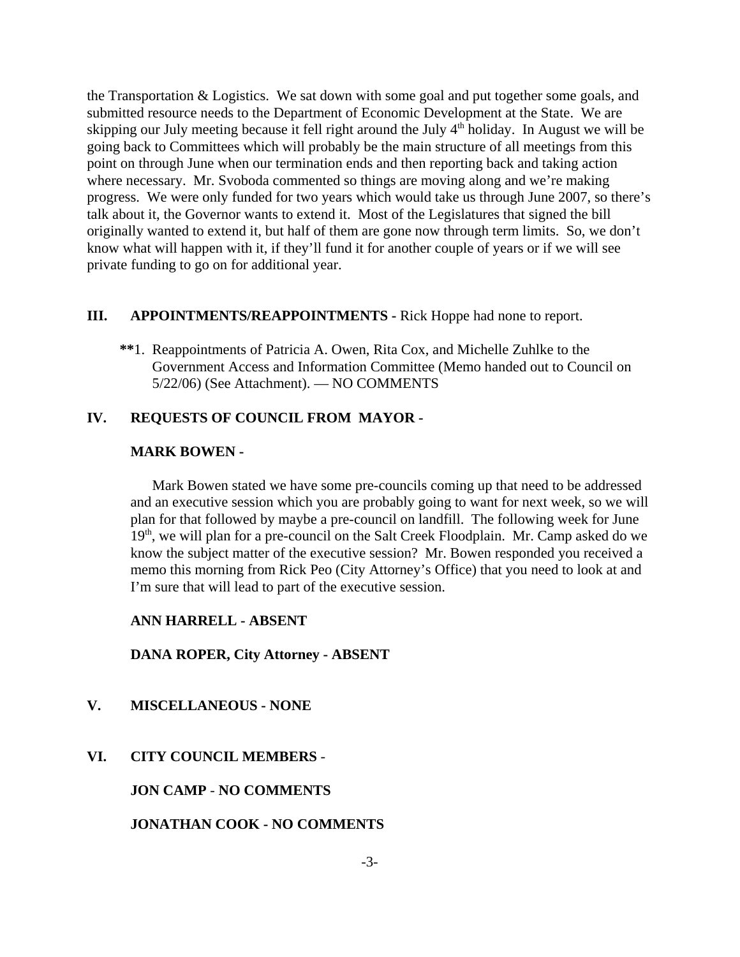the Transportation & Logistics. We sat down with some goal and put together some goals, and submitted resource needs to the Department of Economic Development at the State. We are skipping our July meeting because it fell right around the July 4<sup>th</sup> holiday. In August we will be going back to Committees which will probably be the main structure of all meetings from this point on through June when our termination ends and then reporting back and taking action where necessary. Mr. Svoboda commented so things are moving along and we're making progress. We were only funded for two years which would take us through June 2007, so there's talk about it, the Governor wants to extend it. Most of the Legislatures that signed the bill originally wanted to extend it, but half of them are gone now through term limits. So, we don't know what will happen with it, if they'll fund it for another couple of years or if we will see private funding to go on for additional year.

### **III. APPOINTMENTS/REAPPOINTMENTS -** Rick Hoppe had none to report.

 **\*\***1. Reappointments of Patricia A. Owen, Rita Cox, and Michelle Zuhlke to the Government Access and Information Committee (Memo handed out to Council on 5/22/06) (See Attachment). — NO COMMENTS

# **IV. REQUESTS OF COUNCIL FROM MAYOR -**

#### **MARK BOWEN -**

Mark Bowen stated we have some pre-councils coming up that need to be addressed and an executive session which you are probably going to want for next week, so we will plan for that followed by maybe a pre-council on landfill. The following week for June 19<sup>th</sup>, we will plan for a pre-council on the Salt Creek Floodplain. Mr. Camp asked do we know the subject matter of the executive session? Mr. Bowen responded you received a memo this morning from Rick Peo (City Attorney's Office) that you need to look at and I'm sure that will lead to part of the executive session.

#### **ANN HARRELL - ABSENT**

**DANA ROPER, City Attorney - ABSENT** 

## **V. MISCELLANEOUS - NONE**

### **VI. CITY COUNCIL MEMBERS** -

**JON CAMP** - **NO COMMENTS** 

**JONATHAN COOK - NO COMMENTS**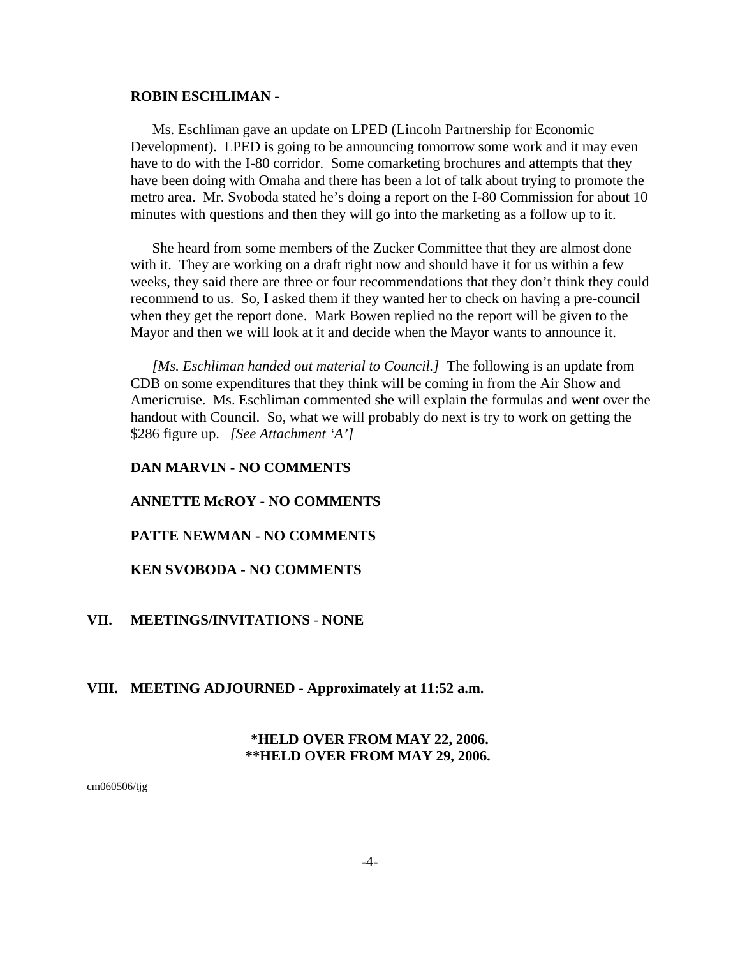#### **ROBIN ESCHLIMAN -**

Ms. Eschliman gave an update on LPED (Lincoln Partnership for Economic Development). LPED is going to be announcing tomorrow some work and it may even have to do with the I-80 corridor. Some comarketing brochures and attempts that they have been doing with Omaha and there has been a lot of talk about trying to promote the metro area. Mr. Svoboda stated he's doing a report on the I-80 Commission for about 10 minutes with questions and then they will go into the marketing as a follow up to it.

She heard from some members of the Zucker Committee that they are almost done with it. They are working on a draft right now and should have it for us within a few weeks, they said there are three or four recommendations that they don't think they could recommend to us. So, I asked them if they wanted her to check on having a pre-council when they get the report done. Mark Bowen replied no the report will be given to the Mayor and then we will look at it and decide when the Mayor wants to announce it.

*[Ms. Eschliman handed out material to Council.]* The following is an update from CDB on some expenditures that they think will be coming in from the Air Show and Americruise. Ms. Eschliman commented she will explain the formulas and went over the handout with Council. So, what we will probably do next is try to work on getting the \$286 figure up. *[See Attachment 'A']* 

#### **DAN MARVIN - NO COMMENTS**

#### **ANNETTE McROY - NO COMMENTS**

#### **PATTE NEWMAN - NO COMMENTS**

#### **KEN SVOBODA - NO COMMENTS**

#### **VII. MEETINGS/INVITATIONS** - **NONE**

#### **VIII. MEETING ADJOURNED - Approximately at 11:52 a.m.**

### **\*HELD OVER FROM MAY 22, 2006. \*\*HELD OVER FROM MAY 29, 2006.**

cm060506/tjg